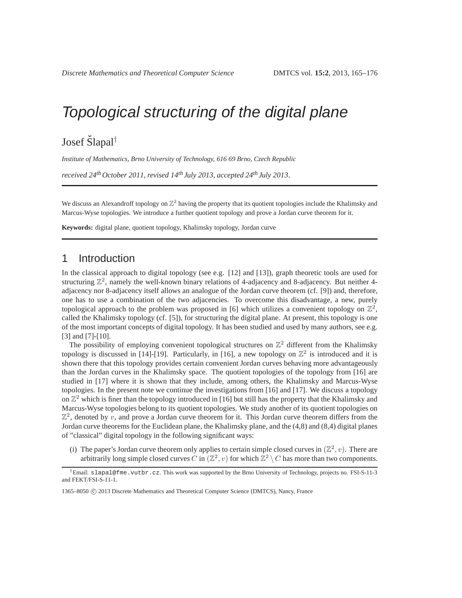# Topological structuring of the digital plane

Josef Šlapal<sup>†</sup>

*Institute of Mathematics, Brno University of Technology, 616 69 Brno, Czech Republic*

*received 24thOctober 2011*, *revised 14th July 2013*, *accepted 24th July 2013*.

We discuss an Alexandroff topology on  $\mathbb{Z}^2$  having the property that its quotient topologies include the Khalimsky and Marcus-Wyse topologies. We introduce a further quotient topology and prove a Jordan curve theorem for it.

**Keywords:** digital plane, quotient topology, Khalimsky topology, Jordan curve

### 1 Introduction

In the classical approach to digital topology (see e.g. [12] and [13]), graph theoretic tools are used for structuring  $\mathbb{Z}^2$ , namely the well-known binary relations of 4-adjacency and 8-adjacency. But neither 4adjacency nor 8-adjacency itself allows an analogue of the Jordan curve theorem (cf. [9]) and, therefore, one has to use a combination of the two adjacencies. To overcome this disadvantage, a new, purely topological approach to the problem was proposed in [6] which utilizes a convenient topology on  $\mathbb{Z}^2$ , called the Khalimsky topology (cf. [5]), for structuring the digital plane. At present, this topology is one of the most important concepts of digital topology. It has been studied and used by many authors, see e.g. [3] and [7]-[10].

The possibility of employing convenient topological structures on  $\mathbb{Z}^2$  different from the Khalimsky topology is discussed in [14]-[19]. Particularly, in [16], a new topology on  $\mathbb{Z}^2$  is introduced and it is shown there that this topology provides certain convenient Jordan curves behaving more advantageously than the Jordan curves in the Khalimsky space. The quotient topologies of the topology from [16] are studied in [17] where it is shown that they include, among others, the Khalimsky and Marcus-Wyse topologies. In the present note we continue the investigations from [16] and [17]. We discuss a topology on  $\mathbb{Z}^2$  which is finer than the topology introduced in [16] but still has the property that the Khalimsky and Marcus-Wyse topologies belong to its quotient topologies. We study another of its quotient topologies on  $\mathbb{Z}^2$ , denoted by v, and prove a Jordan curve theorem for it. This Jordan curve theorem differs from the Jordan curve theorems for the Euclidean plane, the Khalimsky plane, and the (4,8) and (8,4) digital planes of "classical" digital topology in the following significant ways:

(i) The paper's Jordan curve theorem only applies to certain simple closed curves in  $(\mathbb{Z}^2, v)$ . There are arbitrarily long simple closed curves C in  $(\mathbb{Z}^2, v)$  for which  $\mathbb{Z}^2 \setminus C$  has more than two components.

<sup>†</sup>Email: slapal@fme.vutbr.cz. This work was supported by the Brno University of Technology, projects no. FSI-S-11-3 and FEKT/FSI-S-11-1.

<sup>1365–8050</sup> C 2013 Discrete Mathematics and Theoretical Computer Science (DMTCS), Nancy, France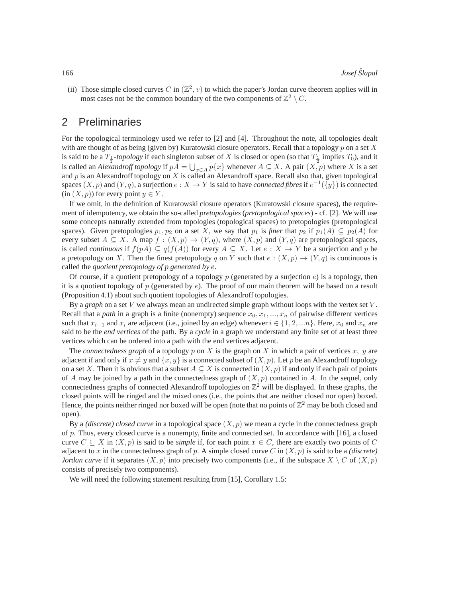(ii) Those simple closed curves C in  $(\mathbb{Z}^2, v)$  to which the paper's Jordan curve theorem applies will in most cases not be the common boundary of the two components of  $\mathbb{Z}^2 \setminus C$ .

### 2 Preliminaries

For the topological terminology used we refer to [2] and [4]. Throughout the note, all topologies dealt with are thought of as being (given by) Kuratowski closure operators. Recall that a topology  $p$  on a set X is said to be a  $T_1$ -*topology* if each singleton subset of X is closed or open (so that  $T_1$  implies  $T_0$ ), and it is called an *Alexandroff topology* if  $pA = \bigcup_{x \in A} p\{x\}$  whenever  $A \subseteq X$ . A pair  $(X, p)$  where X is a set and  $p$  is an Alexandroff topology on  $X$  is called an Alexandroff space. Recall also that, given topological spaces  $(X, p)$  and  $(Y, q)$ , a surjection  $e: X \to Y$  is said to have *connected fibres* if  $e^{-1}(\lbrace y \rbrace)$  is connected (in  $(X, p)$ ) for every point  $y \in Y$ .

If we omit, in the definition of Kuratowski closure operators (Kuratowski closure spaces), the requirement of idempotency, we obtain the so-called *pretopologies* (*pretopological spaces*) - cf. [2]. We will use some concepts naturally extended from topologies (topological spaces) to pretopologies (pretopological spaces). Given pretopologies  $p_1, p_2$  on a set X, we say that  $p_1$  is *finer* that  $p_2$  if  $p_1(A) \subseteq p_2(A)$  for every subset  $A \subseteq X$ . A map  $f : (X, p) \to (Y, q)$ , where  $(X, p)$  and  $(Y, q)$  are pretopological spaces, is called *continuous* if  $f(pA) \subseteq q(f(A))$  for every  $A \subseteq X$ . Let  $e : X \to Y$  be a surjection and p be a pretopology on X. Then the finest pretopology q on Y such that  $e : (X, p) \to (Y, q)$  is continuous is called the *quotient pretopology of p generated by e*.

Of course, if a quotient pretopology of a topology p (generated by a surjection  $e$ ) is a topology, then it is a quotient topology of p (generated by  $e$ ). The proof of our main theorem will be based on a result (Proposition 4.1) about such quotient topologies of Alexandroff topologies.

By a *graph* on a set V we always mean an undirected simple graph without loops with the vertex set V . Recall that a *path* in a graph is a finite (nonempty) sequence  $x_0, x_1, ..., x_n$  of pairwise different vertices such that  $x_{i-1}$  and  $x_i$  are adjacent (i.e., joined by an edge) whenever  $i \in \{1, 2, ...n\}$ . Here,  $x_0$  and  $x_n$  are said to be the *end vertices* of the path. By a *cycle* in a graph we understand any finite set of at least three vertices which can be ordered into a path with the end vertices adjacent.

The *connectedness graph* of a topology p on X is the graph on X in which a pair of vertices x, y are adjacent if and only if  $x \neq y$  and  $\{x, y\}$  is a connected subset of  $(X, p)$ . Let p be an Alexandroff topology on a set X. Then it is obvious that a subset  $A \subseteq X$  is connected in  $(X, p)$  if and only if each pair of points of A may be joined by a path in the connectedness graph of  $(X, p)$  contained in A. In the sequel, only connectedness graphs of connected Alexandroff topologies on  $\mathbb{Z}^2$  will be displayed. In these graphs, the closed points will be ringed and the mixed ones (i.e., the points that are neither closed nor open) boxed. Hence, the points neither ringed nor boxed will be open (note that no points of  $\mathbb{Z}^2$  may be both closed and open).

By a *(discrete) closed curve* in a topological space  $(X, p)$  we mean a cycle in the connectedness graph of  $p$ . Thus, every closed curve is a nonempty, finite and connected set. In accordance with [16], a closed curve  $C \subseteq X$  in  $(X, p)$  is said to be *simple* if, for each point  $x \in C$ , there are exactly two points of C adjacent to x in the connectedness graph of p. A simple closed curve C in  $(X, p)$  is said to be a *(discrete) Jordan curve* if it separates  $(X, p)$  into precisely two components (i.e., if the subspace  $X \setminus C$  of  $(X, p)$ consists of precisely two components).

We will need the following statement resulting from [15], Corollary 1.5: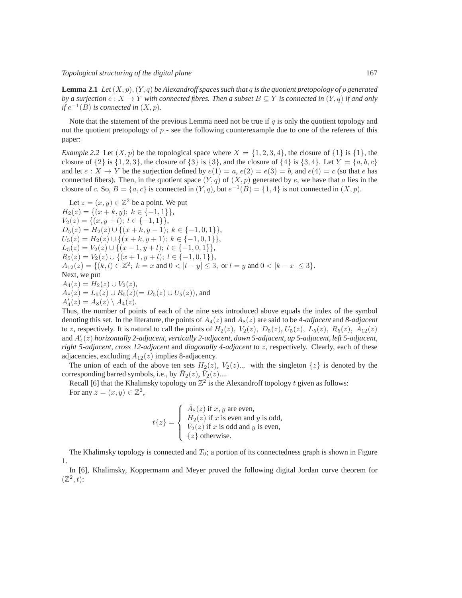**Lemma 2.1** *Let*  $(X, p)$ ,  $(Y, q)$  *be Alexandroff spaces such that* q *is the quotient pretopology of* p *generated by a surjection*  $e: X \to Y$  *with connected fibres. Then a subset*  $B \subseteq Y$  *is connected in*  $(Y, q)$  *if and only if*  $e^{-1}(B)$  *is connected in*  $(X, p)$ *.* 

Note that the statement of the previous Lemma need not be true if  $q$  is only the quotient topology and not the quotient pretopology of  $p$  - see the following counterexample due to one of the referees of this paper:

*Example 2.2* Let  $(X, p)$  be the topological space where  $X = \{1, 2, 3, 4\}$ , the closure of  $\{1\}$  is  $\{1\}$ , the closure of  $\{2\}$  is  $\{1, 2, 3\}$ , the closure of  $\{3\}$  is  $\{3\}$ , and the closure of  $\{4\}$  is  $\{3, 4\}$ . Let  $Y = \{a, b, c\}$ and let  $e: X \to Y$  be the surjection defined by  $e(1) = a, e(2) = e(3) = b$ , and  $e(4) = c$  (so that e has connected fibers). Then, in the quotient space  $(Y, q)$  of  $(X, p)$  generated by e, we have that a lies in the closure of c. So,  $B = \{a, c\}$  is connected in  $(Y, q)$ , but  $e^{-1}(B) = \{1, 4\}$  is not connected in  $(X, p)$ .

Let 
$$
z = (x, y) \in \mathbb{Z}^2
$$
 be a point. We put  
\n $H_2(z) = \{(x + k, y); k \in \{-1, 1\}\},$   
\n $V_2(z) = \{(x, y + l); l \in \{-1, 1\}\},$   
\n $D_5(z) = H_2(z) \cup \{(x + k, y - 1); k \in \{-1, 0, 1\}\},$   
\n $U_5(z) = H_2(z) \cup \{(x + k, y + 1); k \in \{-1, 0, 1\}\},$   
\n $L_5(z) = V_2(z) \cup \{(x - 1, y + l); l \in \{-1, 0, 1\}\},$   
\n $R_5(z) = V_2(z) \cup \{(x + 1, y + l); l \in \{-1, 0, 1\}\},$   
\n $A_{12}(z) = \{(k, l) \in \mathbb{Z}^2; k = x \text{ and } 0 < |l - y| \le 3, \text{ or } l = y \text{ and } 0 < |k - x| \le 3\}.$   
\nNext, we put  
\n $A_4(z) = H_2(z) \cup V_2(z),$   
\n $A_8(z) = L_5(z) \cup R_5(z) (= D_5(z) \cup U_5(z)),$  and  
\n $A'_4(z) = A_8(z) \setminus A_4(z).$ 

Thus, the number of points of each of the nine sets introduced above equals the index of the symbol denoting this set. In the literature, the points of  $A_4(z)$  and  $A_8(z)$  are said to be *4-adjacent* and *8-adjacent* to z, respectively. It is natural to call the points of  $H_2(z)$ ,  $V_2(z)$ ,  $D_5(z)$ ,  $U_5(z)$ ,  $L_5(z)$ ,  $R_5(z)$ ,  $A_{12}(z)$ and A′ 4 (z) *horizontally 2-adjacent, vertically 2-adjacent, down 5-adjacent, up 5-adjacent, left 5-adjacent, right 5-adjacent, cross 12-adjacent* and *diagonally 4-adjacent* to z, respectively. Clearly, each of these adjacencies, excluding  $A_{12}(z)$  implies 8-adjacency.

The union of each of the above ten sets  $H_2(z)$ ,  $V_2(z)$ ... with the singleton  $\{z\}$  is denoted by the corresponding barred symbols, i.e., by  $\bar{H}_2(z)$ ,  $\bar{V}_2(z)$ ....

Recall [6] that the Khalimsky topology on  $\mathbb{Z}^2$  is the Alexandroff topology t given as follows: For any  $z = (x, y) \in \mathbb{Z}^2$ ,

$$
t\{z\} = \begin{cases} \bar{A}_8(z) \text{ if } x, y \text{ are even,} \\ \bar{H}_2(z) \text{ if } x \text{ is even and } y \text{ is odd,} \\ \bar{V}_2(z) \text{ if } x \text{ is odd and } y \text{ is even,} \\ \{z\} \text{ otherwise.} \end{cases}
$$

The Khalimsky topology is connected and  $T_0$ ; a portion of its connectedness graph is shown in Figure 1.

In [6], Khalimsky, Koppermann and Meyer proved the following digital Jordan curve theorem for  $(\mathbb{Z}^2, t)$ :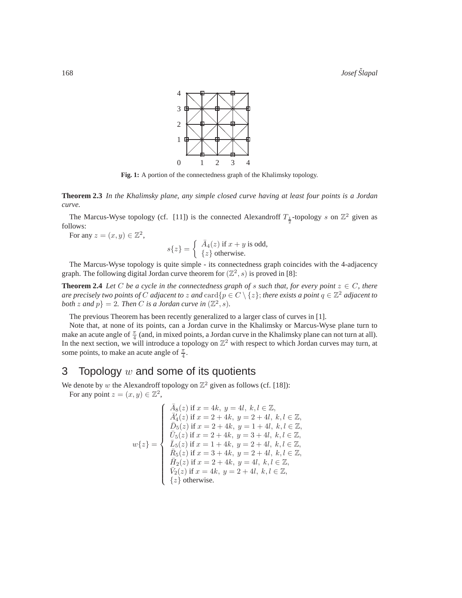

**Fig. 1:** A portion of the connectedness graph of the Khalimsky topology.

**Theorem 2.3** *In the Khalimsky plane, any simple closed curve having at least four points is a Jordan curve.*

The Marcus-Wyse topology (cf. [11]) is the connected Alexandroff  $T_{\frac{1}{2}}$ -topology s on  $\mathbb{Z}^2$  given as follows:

For any  $z = (x, y) \in \mathbb{Z}^2$ ,

$$
s\{z\} = \begin{cases} \overline{A}_4(z) \text{ if } x + y \text{ is odd,} \\ \{z\} \text{ otherwise.} \end{cases}
$$

The Marcus-Wyse topology is quite simple - its connectedness graph coincides with the 4-adjacency graph. The following digital Jordan curve theorem for  $(\mathbb{Z}^2, s)$  is proved in [8]:

**Theorem 2.4** *Let* C *be a cycle in the connectedness graph of s such that, for every point*  $z \in C$ *, there are precisely two points of*  $C$  *adjacent to*  $z$  *and*  $\mathrm{card}\{p \in C \setminus \{z\} \}$  *there exists a point*  $q \in \mathbb{Z}^2$  adjacent to *both* z and  $p$ } = 2. Then C *is a Jordan curve in*  $(\mathbb{Z}^2, s)$ .

The previous Theorem has been recently generalized to a larger class of curves in [1].

Note that, at none of its points, can a Jordan curve in the Khalimsky or Marcus-Wyse plane turn to make an acute angle of  $\frac{\pi}{4}$  (and, in mixed points, a Jordan curve in the Khalimsky plane can not turn at all). In the next section, we will introduce a topology on  $\mathbb{Z}^2$  with respect to which Jordan curves may turn, at some points, to make an acute angle of  $\frac{\pi}{4}$ .

### 3 Topology  $w$  and some of its quotients

We denote by w the Alexandroff topology on  $\mathbb{Z}^2$  given as follows (cf. [18]): For any point  $z = (x, y) \in \mathbb{Z}^2$ ,

$$
w\{z\} = \begin{cases} \bar{A}_8(z) \text{ if } x = 4k, y = 4l, k, l \in \mathbb{Z},\\ \bar{A}'_4(z) \text{ if } x = 2 + 4k, y = 2 + 4l, k, l \in \mathbb{Z},\\ \bar{D}_5(z) \text{ if } x = 2 + 4k, y = 1 + 4l, k, l \in \mathbb{Z},\\ \bar{U}_5(z) \text{ if } x = 2 + 4k, y = 3 + 4l, k, l \in \mathbb{Z},\\ \bar{L}_5(z) \text{ if } x = 1 + 4k, y = 2 + 4l, k, l \in \mathbb{Z},\\ \bar{R}_5(z) \text{ if } x = 3 + 4k, y = 2 + 4l, k, l \in \mathbb{Z},\\ \bar{H}_2(z) \text{ if } x = 2 + 4k, y = 4l, k, l \in \mathbb{Z},\\ \bar{V}_2(z) \text{ if } x = 4k, y = 2 + 4l, k, l \in \mathbb{Z},\\ \{z\} \text{ otherwise.} \end{cases}
$$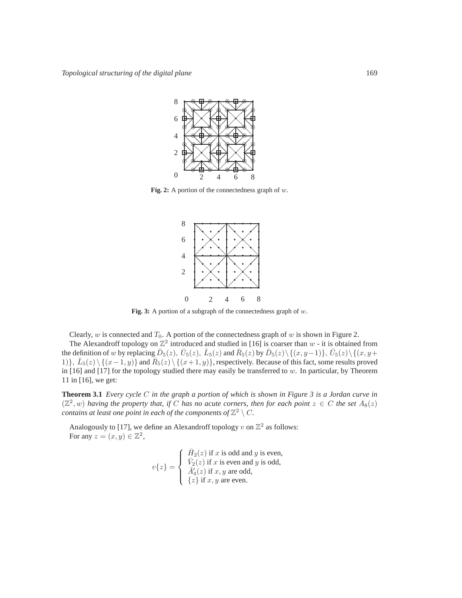

**Fig. 2:** A portion of the connectedness graph of w.



**Fig. 3:** A portion of a subgraph of the connectedness graph of w.

Clearly,  $w$  is connected and  $T_0$ . A portion of the connectedness graph of  $w$  is shown in Figure 2.

The Alexandroff topology on  $\mathbb{Z}^2$  introduced and studied in [16] is coarser than  $w$  - it is obtained from the definition of w by replacing  $\bar{D}_5(z)$ ,  $\bar{U}_5(z)$ ,  $\bar{L}_5(z)$  and  $\bar{R}_5(z)$  by  $\bar{D}_5(z)\setminus\{(x,y-1)\}, \bar{U}_5(z)\setminus\{(x,y+1)\}$ 1)},  $\bar{L}_5(z) \setminus \{(x-1,y)\}\$  and  $\bar{R}_5(z) \setminus \{(x+1,y)\}\$ , respectively. Because of this fact, some results proved in  $[16]$  and  $[17]$  for the topology studied there may easily be transferred to w. In particular, by Theorem 11 in [16], we get:

**Theorem 3.1** *Every cycle* C *in the graph a portion of which is shown in Figure 3 is a Jordan curve in*  $(\mathbb{Z}^2, w)$  *having the property that, if* C *has no acute corners, then for each point*  $z \in C$  *the set*  $A_8(z)$ *contains at least one point in each of the components of*  $\mathbb{Z}^2 \setminus C$ *.* 

Analogously to [17], we define an Alexandroff topology v on  $\mathbb{Z}^2$  as follows: For any  $z = (x, y) \in \mathbb{Z}^2$ ,

$$
v\{z\} = \begin{cases} \n\bar{H}_2(z) \text{ if } x \text{ is odd and } y \text{ is even,} \\ \n\bar{V}_2(z) \text{ if } x \text{ is even and } y \text{ is odd,} \\ \n\bar{A}'_4(z) \text{ if } x, y \text{ are odd,} \\ \n\{z\} \text{ if } x, y \text{ are even.} \n\end{cases}
$$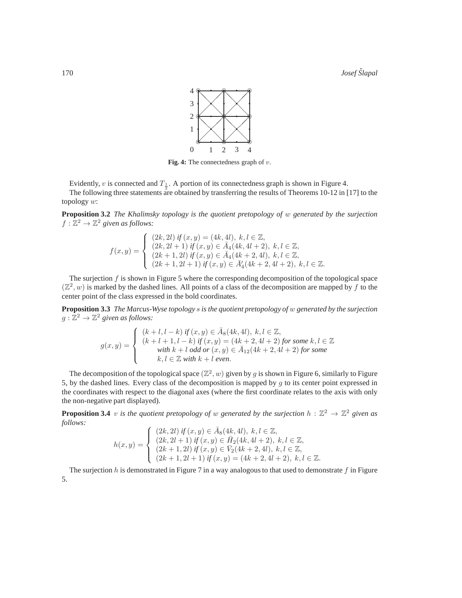

**Fig. 4:** The connectedness graph of v.

Evidently, v is connected and  $T_{\frac{1}{2}}$ . A portion of its connectedness graph is shown in Figure 4. 2. The following three statements are obtained by transferring the results of Theorems 10-12 in [17] to the topology w:

**Proposition 3.2** *The Khalimsky topology is the quotient pretopology of* w *generated by the surjection*  $f : \mathbb{Z}^2 \to \mathbb{Z}^2$  given as follows:

$$
f(x,y) = \begin{cases} (2k,2l) \text{ if } (x,y) = (4k,4l), \ k,l \in \mathbb{Z}, \\ (2k,2l+1) \text{ if } (x,y) \in \bar{A}_4(4k,4l+2), \ k,l \in \mathbb{Z}, \\ (2k+1,2l) \text{ if } (x,y) \in \bar{A}_4(4k+2,4l), \ k,l \in \mathbb{Z}, \\ (2k+1,2l+1) \text{ if } (x,y) \in \bar{A}_4(4k+2,4l+2), \ k,l \in \mathbb{Z}. \end{cases}
$$

The surjection  $f$  is shown in Figure 5 where the corresponding decomposition of the topological space  $(\mathbb{Z}^2, w)$  is marked by the dashed lines. All points of a class of the decomposition are mapped by f to the center point of the class expressed in the bold coordinates.

**Proposition 3.3** *The Marcus-Wyse topology* s *is the quotient pretopology of* w *generated by the surjection*  $g:\mathbb{Z}^2\to\mathbb{Z}^2$  given as follows:

$$
g(x,y) = \begin{cases} (k+l, l-k) \text{ if } (x,y) \in \bar{A}_8(4k,4l), \ k, l \in \mathbb{Z}, \\ (k+l+1, l-k) \text{ if } (x,y) = (4k+2,4l+2) \text{ for some } k, l \in \mathbb{Z} \\ \text{with } k+l \text{ odd or } (x,y) \in \bar{A}_{12}(4k+2,4l+2) \text{ for some } \\ k, l \in \mathbb{Z} \text{ with } k+l \text{ even.} \end{cases}
$$

The decomposition of the topological space  $(\mathbb{Z}^2, w)$  given by g is shown in Figure 6, similarly to Figure 5, by the dashed lines. Every class of the decomposition is mapped by q to its center point expressed in the coordinates with respect to the diagonal axes (where the first coordinate relates to the axis with only the non-negative part displayed).

**Proposition 3.4** v is the quotient pretopology of w generated by the surjection  $h : \mathbb{Z}^2 \to \mathbb{Z}^2$  given as *follows:*

$$
h(x,y) = \begin{cases} (2k,2l) \text{ if } (x,y) \in \bar{A}_8(4k,4l), \ k,l \in \mathbb{Z}, \\ (2k,2l+1) \text{ if } (x,y) \in \bar{H}_2(4k,4l+2), \ k,l \in \mathbb{Z}, \\ (2k+1,2l) \text{ if } (x,y) \in \bar{V}_2(4k+2,4l), \ k,l \in \mathbb{Z}, \\ (2k+1,2l+1) \text{ if } (x,y) = (4k+2,4l+2), \ k,l \in \mathbb{Z}. \end{cases}
$$

The surjection  $h$  is demonstrated in Figure 7 in a way analogous to that used to demonstrate  $f$  in Figure 5.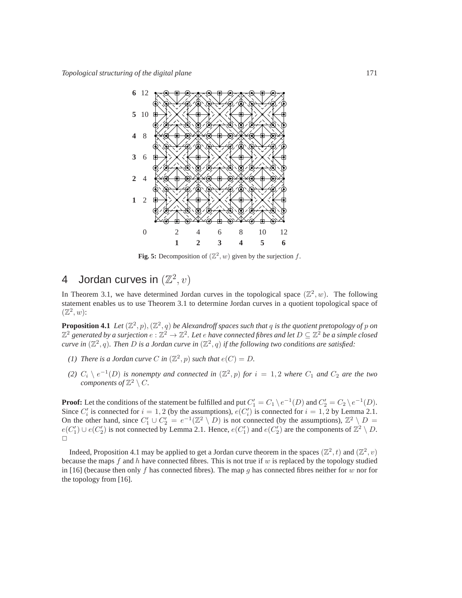

Fig. 5: Decomposition of  $(\mathbb{Z}^2, w)$  given by the surjection f.

# 4 Jordan curves in  $(\mathbb{Z}^2, v)$

In Theorem 3.1, we have determined Jordan curves in the topological space  $(\mathbb{Z}^2, w)$ . The following statement enables us to use Theorem 3.1 to determine Jordan curves in a quotient topological space of  $(\mathbb{Z}^2, w)$ :

**Proposition 4.1** Let  $(\mathbb{Z}^2, p), (\mathbb{Z}^2, q)$  be Alexandroff spaces such that q is the quotient pretopology of p on  $\mathbb{Z}^2$  generated by a surjection  $e:\mathbb{Z}^2\to\mathbb{Z}^2$ . Let  $e$  have connected fibres and let  $D\subseteq\mathbb{Z}^2$  be a simple closed *curve in*  $(\mathbb{Z}^2, q)$ . Then D is a Jordan curve in  $(\mathbb{Z}^2, q)$  if the following two conditions are satisfied:

- (1) There is a Jordan curve C in  $(\mathbb{Z}^2, p)$  such that  $e(C) = D$ .
- (2)  $C_i \setminus e^{-1}(D)$  *is nonempty and connected in*  $(\mathbb{Z}^2, p)$  *for*  $i = 1, 2$  *where*  $C_1$  *and*  $C_2$  *are the two components of*  $\mathbb{Z}^2 \setminus C$ *.*

**Proof:** Let the conditions of the statement be fulfilled and put  $C'_1 = C_1 \setminus e^{-1}(D)$  and  $C'_2 = C_2 \setminus e^{-1}(D)$ . Since  $C_i'$  is connected for  $i = 1, 2$  (by the assumptions),  $e(C_i')$  is connected for  $i = 1, 2$  by Lemma 2.1. On the other hand, since  $C'_1 \cup C'_2 = e^{-1}(\mathbb{Z}^2 \setminus D)$  is not connected (by the assumptions),  $\mathbb{Z}^2 \setminus D =$  $e(C'_1) \cup e(C'_2)$  is not connected by Lemma 2.1. Hence,  $e(C'_1)$  and  $e(C'_2)$  are the components of  $\mathbb{Z}^2 \setminus D$ .  $\Box$ 

Indeed, Proposition 4.1 may be applied to get a Jordan curve theorem in the spaces  $(\mathbb{Z}^2, t)$  and  $(\mathbb{Z}^2, v)$ because the maps  $f$  and  $h$  have connected fibres. This is not true if  $w$  is replaced by the topology studied in [16] (because then only f has connected fibres). The map g has connected fibres neither for w nor for the topology from [16].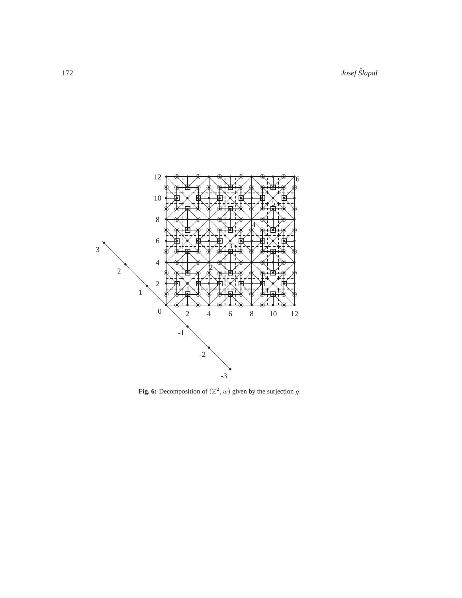172 *Josef Slapal ˇ*



Fig. 6: Decomposition of  $(\mathbb{Z}^2, w)$  given by the surjection g.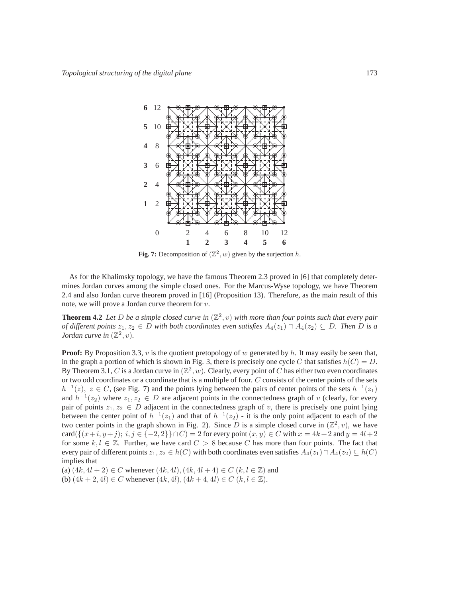

Fig. 7: Decomposition of  $(\mathbb{Z}^2, w)$  given by the surjection h.

As for the Khalimsky topology, we have the famous Theorem 2.3 proved in [6] that completely determines Jordan curves among the simple closed ones. For the Marcus-Wyse topology, we have Theorem 2.4 and also Jordan curve theorem proved in [16] (Proposition 13). Therefore, as the main result of this note, we will prove a Jordan curve theorem for  $v$ .

**Theorem 4.2** Let D be a simple closed curve in  $(\mathbb{Z}^2, v)$  with more than four points such that every pair *of different points*  $z_1, z_2 \in D$  *with both coordinates even satisfies*  $A_4(z_1) \cap A_4(z_2) \subseteq D$ *. Then* D *is a Jordan curve in*  $(\mathbb{Z}^2, v)$ *.* 

**Proof:** By Proposition 3.3, v is the quotient pretopology of w generated by h. It may easily be seen that, in the graph a portion of which is shown in Fig. 3, there is precisely one cycle C that satisfies  $h(C) = D$ . By Theorem 3.1, C is a Jordan curve in  $(\mathbb{Z}^2, w)$ . Clearly, every point of C has either two even coordinates or two odd coordinates or a coordinate that is a multiple of four. C consists of the center points of the sets  $h^{-1}(z)$ ,  $z \in C$ , (see Fig. 7) and the points lying between the pairs of center points of the sets  $h^{-1}(z_1)$ and  $h^{-1}(z_2)$  where  $z_1, z_2 \in D$  are adjacent points in the connectedness graph of v (clearly, for every pair of points  $z_1, z_2 \in D$  adjacent in the connectedness graph of v, there is precisely one point lying between the center point of  $h^{-1}(z_1)$  and that of  $h^{-1}(z_2)$  - it is the only point adjacent to each of the two center points in the graph shown in Fig. 2). Since D is a simple closed curve in  $(\mathbb{Z}^2, v)$ , we have card $({(x+i, y+j); i, j \in {-2, 2}} \cap C) = 2$  for every point  $(x, y) \in C$  with  $x = 4k + 2$  and  $y = 4l + 2$ for some  $k, l \in \mathbb{Z}$ . Further, we have card  $C > 8$  because C has more than four points. The fact that every pair of different points  $z_1, z_2 \in h(C)$  with both coordinates even satisfies  $A_4(z_1) \cap A_4(z_2) \subseteq h(C)$ implies that

(a)  $(4k, 4l + 2) \in C$  whenever  $(4k, 4l), (4k, 4l + 4) \in C$   $(k, l \in \mathbb{Z})$  and

(b)  $(4k + 2, 4l) \in C$  whenever  $(4k, 4l), (4k + 4, 4l) \in C$   $(k, l \in \mathbb{Z})$ .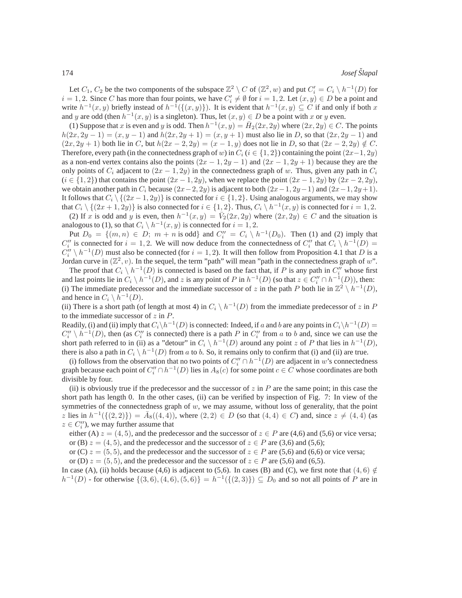Let  $C_1$ ,  $C_2$  be the two components of the subspace  $\mathbb{Z}^2 \setminus C$  of  $(\mathbb{Z}^2, w)$  and put  $C_i' = C_i \setminus h^{-1}(D)$  for  $i = 1, 2$ . Since C has more than four points, we have  $C_i' \neq \emptyset$  for  $i = 1, 2$ . Let  $(x, y) \in D$  be a point and write  $h^{-1}(x, y)$  briefly instead of  $h^{-1}(\{(x, y)\})$ . It is evident that  $h^{-1}(x, y) \subseteq C$  if and only if both x and y are odd (then  $h^{-1}(x, y)$  is a singleton). Thus, let  $(x, y) \in D$  be a point with x or y even.

(1) Suppose that x is even and y is odd. Then  $h^{-1}(x, y) = \overline{H}_2(2x, 2y)$  where  $(2x, 2y) \in C$ . The points  $h(2x, 2y - 1) = (x, y - 1)$  and  $h(2x, 2y + 1) = (x, y + 1)$  must also lie in D, so that  $(2x, 2y - 1)$  and  $(2x, 2y + 1)$  both lie in C, but  $h(2x - 2, 2y) = (x - 1, y)$  does not lie in D, so that  $(2x - 2, 2y) \notin C$ . Therefore, every path (in the connectedness graph of w) in  $C_i$  ( $i \in \{1, 2\}$ ) containing the point  $(2x-1, 2y)$ as a non-end vertex contains also the points  $(2x - 1, 2y - 1)$  and  $(2x - 1, 2y + 1)$  because they are the only points of  $C_i$  adjacent to  $(2x - 1, 2y)$  in the connectedness graph of w. Thus, given any path in  $C_i$  $(i \in \{1,2\})$  that contains the point  $(2x-1, 2y)$ , when we replace the point  $(2x-1, 2y)$  by  $(2x-2, 2y)$ , we obtain another path in  $C_i$  because  $(2x-2, 2y)$  is adjacent to both  $(2x-1, 2y-1)$  and  $(2x-1, 2y+1)$ . It follows that  $C_i \setminus \{(2x-1, 2y)\}\$ is connected for  $i \in \{1, 2\}$ . Using analogous arguments, we may show that  $C_i \setminus \{(2x+1, 2y)\}\)$  is also connected for  $i \in \{1, 2\}$ . Thus,  $C_i \setminus h^{-1}(x, y)$  is connected for  $i = 1, 2$ .

(2) If x is odd and y is even, then  $h^{-1}(x, y) = V_2(2x, 2y)$  where  $(2x, 2y) \in C$  and the situation is analogous to (1), so that  $C_i \setminus h^{-1}(x, y)$  is connected for  $i = 1, 2$ .

Put  $D_0 = \{(m, n) \in D; m + n \text{ is odd}\}\$ and  $C_i'' = C_i \setminus h^{-1}(D_0)$ . Then (1) and (2) imply that  $C_i''$  is connected for  $i = 1, 2$ . We will now deduce from the connectedness of  $C_i''$  that  $C_i \setminus h^{-1}(D) =$  $C_i'' \setminus h^{-1}(D)$  must also be connected (for  $i = 1, 2$ ). It will then follow from Proposition 4.1 that D is a Jordan curve in  $(\mathbb{Z}^2, v)$ . In the sequel, the term "path" will mean "path in the connectedness graph of w".

The proof that  $C_i \setminus h^{-1}(D)$  is connected is based on the fact that, if P is any path in  $C_i''$  whose first and last points lie in  $C_i \setminus h^{-1}(D)$ , and z is any point of P in  $h^{-1}(D)$  (so that  $z \in C_i'' \cap h^{-1}(D)$ ), then: (i) The immediate predecessor and the immediate successor of z in the path P both lie in  $\mathbb{Z}^2 \setminus h^{-1}(D)$ , and hence in  $C_i \setminus \overline{h}^{-1}(D)$ .

(ii) There is a short path (of length at most 4) in  $C_i \setminus h^{-1}(D)$  from the immediate predecessor of z in P to the immediate successor of  $z$  in  $P$ .

Readily, (i) and (ii) imply that  $C_i\backslash h^{-1}(D)$  is connected: Indeed, if a and b are any points in  $C_i\backslash h^{-1}(D)$  =  $C_i'' \setminus h^{-1}(D)$ , then (as  $C_i''$  is connected) there is a path P in  $C_i''$  from a to b and, since we can use the short path referred to in (ii) as a "detour" in  $C_i \setminus h^{-1}(D)$  around any point z of P that lies in  $h^{-1}(D)$ , there is also a path in  $C_i \setminus h^{-1}(D)$  from a to b. So, it remains only to confirm that (i) and (ii) are true.

(i) follows from the observation that no two points of  $C_i'' \cap h^{-1}(D)$  are adjacent in w's connectedness graph because each point of  $C_i'' \cap h^{-1}(D)$  lies in  $A_8(c)$  for some point  $c \in C$  whose coordinates are both divisible by four.

(ii) is obviously true if the predecessor and the successor of  $z$  in P are the same point; in this case the short path has length 0. In the other cases, (ii) can be verified by inspection of Fig. 7: In view of the symmetries of the connectedness graph of  $w$ , we may assume, without loss of generality, that the point z lies in  $h^{-1}(\{(2,2)\}) = \bar{A}_8((4,4))$ , where  $(2,2) \in D$  (so that  $(4,4) \in C$ ) and, since  $z \neq (4,4)$  (as  $z \in C_i''$ , we may further assume that

either (A)  $z = (4, 5)$ , and the predecessor and the successor of  $z \in P$  are (4,6) and (5,6) or vice versa; or (B)  $z = (4, 5)$ , and the predecessor and the successor of  $z \in P$  are (3,6) and (5,6);

or (C)  $z = (5, 5)$ , and the predecessor and the successor of  $z \in P$  are (5,6) and (6,6) or vice versa; or (D)  $z = (5, 5)$ , and the predecessor and the successor of  $z \in P$  are (5,6) and (6,5).

In case (A), (ii) holds because (4,6) is adjacent to (5,6). In cases (B) and (C), we first note that  $(4, 6) \notin$  $h^{-1}(D)$  - for otherwise  $\{(3,6), (4,6), (5,6)\} = h^{-1}(\{(2,3)\}) \subseteq D_0$  and so not all points of P are in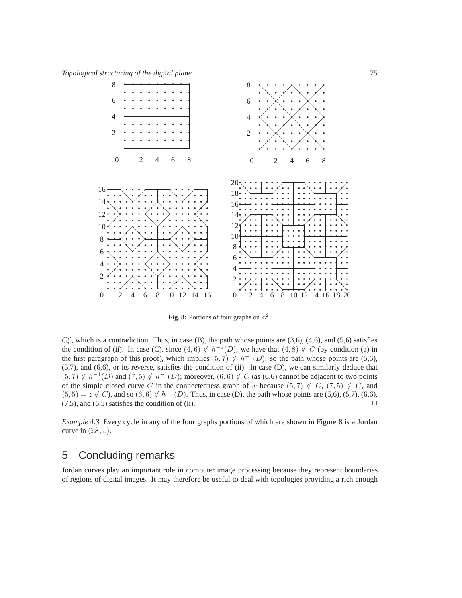

**Fig. 8:** Portions of four graphs on  $\mathbb{Z}^2$ .

 $C_i''$ , which is a contradiction. Thus, in case (B), the path whose points are (3,6), (4,6), and (5,6) satisfies the condition of (ii). In case (C), since  $(4, 6) \notin h^{-1}(D)$ , we have that  $(4, 8) \notin C$  (by condition (a) in the first paragraph of this proof), which implies  $(5, 7) \notin h^{-1}(D)$ ; so the path whose points are  $(5, 6)$ , (5,7), and (6,6), or its reverse, satisfies the condition of (ii). In case (D), we can similarly deduce that  $(5, 7) \notin h^{-1}(D)$  and  $(7, 5) \notin h^{-1}(D)$ ; moreover,  $(6, 6) \notin C$  (as  $(6, 6)$  cannot be adjacent to two points of the simple closed curve C in the connectedness graph of w because  $(5, 7) \notin C$ ,  $(7, 5) \notin C$ , and  $(5,5) = z \notin C$ ), and so  $(6,6) \notin h^{-1}(D)$ . Thus, in case (D), the path whose points are  $(5,6)$ ,  $(5,7)$ ,  $(6,6)$ ,  $(7,5)$ , and  $(6,5)$  satisfies the condition of (ii).

*Example 4.3* Every cycle in any of the four graphs portions of which are shown in Figure 8 is a Jordan curve in  $(\mathbb{Z}^2, v)$ .

# 5 Concluding remarks

Jordan curves play an important role in computer image processing because they represent boundaries of regions of digital images. It may therefore be useful to deal with topologies providing a rich enough